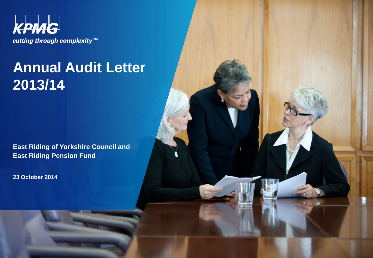

# **Annual Audit Letter 2013/14**

**East Riding of Yorkshire Council and East Riding Pension Fund** 

**23 October 2014**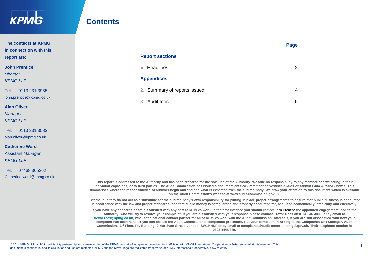

Tel: 0113 231 3583 alan.oliver@kpmg.co.uk

Tel: 07468 365262 Catherine.ward@kpmg.co.uk

**Catherine Ward** Assistant *Manager KPMG LLP* 

### **Contents**

| The contacts at KPMG<br>in connection with this |                              | Page |
|-------------------------------------------------|------------------------------|------|
| report are:                                     | <b>Report sections</b>       |      |
| <b>John Prentice</b>                            | Headlines<br>ш               | 2    |
| <b>Director</b><br><b>KPMG LLP</b>              | <b>Appendices</b>            |      |
| 0113 231 3935<br>Tel:                           | 2. Summary of reports issued | 4    |
| john.prentice@kpmg.co.uk                        | 3. Audit fees                | 5    |
| <b>Alan Oliver</b>                              |                              |      |
| <b>Manager</b>                                  |                              |      |
| <b>KPMG IIP</b>                                 |                              |      |

**This report is addressed to the Authority and has been prepared for the sole use of the Authority. We take no responsibility to any member of staff acting in their individual capacities, or to third parties. The Audit Commission has issued a document entitled** *Statement of Responsibilities of Auditors and Audited Bodies***. This summarises where the responsibilities of auditors begin and end and what is expected from the audited body. We draw your attention to this document which is available on the Audit Commission's website at www.audit-commission.gov.uk.**

**External auditors do not act as a substitute for the audited body's own responsibility for putting in place proper arrangements to ensure that public business is conducted in accordance with the law and proper standards, and that public money is safeguarded and properly accounted for, and used economically, efficiently and effectively.**

**If you have any concerns or are dissatisfied with any part of KPMG's work, in the first instance you should** contact John Prentice **the appointed engagement lead to the Authority, who will try to resolve your complaint. If you are dissatisfied with your response please contact Trevor Rees on 0161 246 4000, or by email to [trevor.rees@kpmg.co.uk,](mailto:trevor.rees@kpmg.co.uk) who is the national contact partner for all of KPMG's work with the Audit Commission. After this, if you are still dissatisfied with how your complaint has been handled you can access the Audit Commission's complaints procedure. Put your complaint in writing to the Complaints Unit Manager, Audit Commission, 3rd Floor, Fry Building, 2 Marsham Street, London, SW1P 4DF or by email to complaints@audit-commission.gsi.gov.uk. Their telephone number is 0303 4448 330.**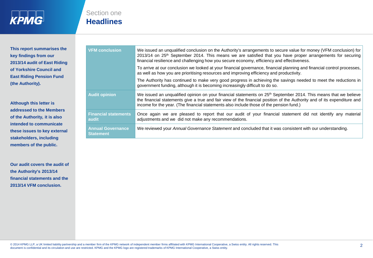

Section one **Headlines**

**This report summarises the key findings from our 2013/14 audit of East Riding of Yorkshire Council and East Riding Pension Fund (the Authority).** 

**Although this letter is addressed to the Members of the Authority, it is also intended to communicate these issues to key external stakeholders, including members of the public.** 

**Our audit covers the audit of the Authority's 2013/14 financial statements and the 2013/14 VFM conclusion.**

| <b>VFM conclusion</b>                        | We issued an unqualified conclusion on the Authority's arrangements to secure value for money (VFM conclusion) for<br>2013/14 on 25 <sup>th</sup> September 2014. This means we are satisfied that you have proper arrangements for securing<br>financial resilience and challenging how you secure economy, efficiency and effectiveness.          |
|----------------------------------------------|-----------------------------------------------------------------------------------------------------------------------------------------------------------------------------------------------------------------------------------------------------------------------------------------------------------------------------------------------------|
|                                              | To arrive at our conclusion we looked at your financial governance, financial planning and financial control processes,<br>as well as how you are prioritising resources and improving efficiency and productivity.                                                                                                                                 |
|                                              | The Authority has continued to make very good progress in achieving the savings needed to meet the reductions in<br>government funding, although it is becoming increasingly difficult to do so.                                                                                                                                                    |
| <b>Audit opinion</b>                         | We issued an unqualified opinion on your financial statements on 25 <sup>th</sup> September 2014. This means that we believe<br>the financial statements give a true and fair view of the financial position of the Authority and of its expenditure and<br>income for the year. (The financial statements also include those of the pension fund.) |
| <b>Financial statements</b><br>audit         | Once again we are pleased to report that our audit of your financial statement did not identify any material<br>adjustments and we did not make any recommendations.                                                                                                                                                                                |
| <b>Annual Governance</b><br><b>Statement</b> | We reviewed your Annual Governance Statement and concluded that it was consistent with our understanding.                                                                                                                                                                                                                                           |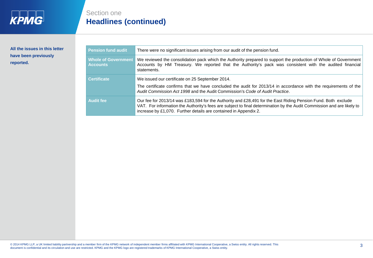

**All the issues in this letter have been previously reported.** 

## Section one **Headlines (continued)**

| <b>Pension fund audit</b>                     | There were no significant issues arising from our audit of the pension fund.                                                                                                                                                                                                                                |
|-----------------------------------------------|-------------------------------------------------------------------------------------------------------------------------------------------------------------------------------------------------------------------------------------------------------------------------------------------------------------|
| <b>Whole of Government</b><br><b>Accounts</b> | We reviewed the consolidation pack which the Authority prepared to support the production of Whole of Government<br>Accounts by HM Treasury. We reported that the Authority's pack was consistent with the audited financial<br>statements.                                                                 |
| <b>Certificate</b>                            | We issued our certificate on 25 September 2014.<br>The certificate confirms that we have concluded the audit for 2013/14 in accordance with the requirements of the<br>Audit Commission Act 1998 and the Audit Commission's Code of Audit Practice.                                                         |
| <b>Audit fee</b>                              | Our fee for 2013/14 was £183,594 for the Authority and £28,491 for the East Riding Pension Fund. Both exclude<br>VAT. For information the Authority's fees are subject to final determination by the Audit Commission and are likely to<br>increase by £1,070. Further details are contained in Appendix 2. |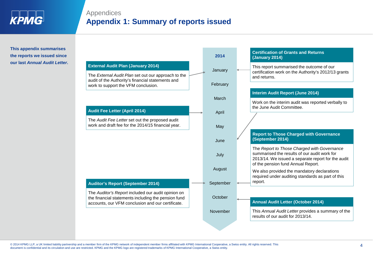

## Appendices **Appendix 1: Summary of reports issued**

**This appendix summarises the reports we issued since our last** *Annual Audit Letter***.**

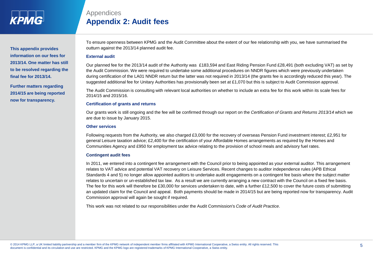

**This appendix provides information on our fees for 2013/14. One matter has still to be resolved regarding the final fee for 2013/14.**

**Further matters regarding 2014/15 are being reported now for transparency.** 

To ensure openness between KPMG and the Audit Committee about the extent of our fee relationship with you, we have summarised the outturn against the 2013/14 planned audit fee.

#### **External audit**

Appendices

Our planned fee for the 2013/14 audit of the Authority was £183,594 and East Riding Pension Fund £28,491 (both excluding VAT) as set by the Audit Commission. We were required to undertake some additional procedures on NNDR figures which were previously undertaken during certification of the LA01 NNDR return but the latter was not required in 2013/14 (the grants fee is accordingly reduced this year). The suggested additional fee for Unitary Authorities has provisionally been set at £1,070 but this is subject to Audit Commission approval.

The Audit Commission is consulting with relevant local authorities on whether to include an extra fee for this work within its scale fees for 2014/15 and 2015/16.

#### **Certification of grants and returns**

**Appendix 2: Audit fees**

Our grants work is still ongoing and the fee will be confirmed through our report on the *Certification of Grants and Returns 2013/14* which we are due to issue by January 2015.

#### **Other services**

Following requests from the Authority, we also charged £3,000 for the recovery of overseas Pension Fund investment interest; £2,951 for general Leisure taxation advice; £2,400 for the certification of your Affordable Homes arrangements as required by the Homes and Communities Agency and £950 for employment tax advice relating to the provision of school meals and advisory fuel rates.

#### **Contingent audit fees**

In 2011, we entered into a contingent fee arrangement with the Council prior to being appointed as your external auditor. This arrangement relates to VAT advice and potential VAT recovery on Leisure Services. Recent changes to auditor independence rules (APB Ethical Standards 4 and 5) no longer allow appointed auditors to undertake audit engagements on a contingent fee basis where the subject matter relates to uncertain or un-established tax law. As a result we are currently arranging a new contract with the Council on a fixed fee basis. The fee for this work will therefore be £30,000 for services undertaken to date, with a further £12,500 to cover the future costs of submitting an updated claim for the Council and appeal. Both payments should be made in 2014/15 but are being reported now for transparency. Audit Commission approval will again be sought if required.

This work was not related to our responsibilities under the Audit Commission's *Code of Audit Practice*.